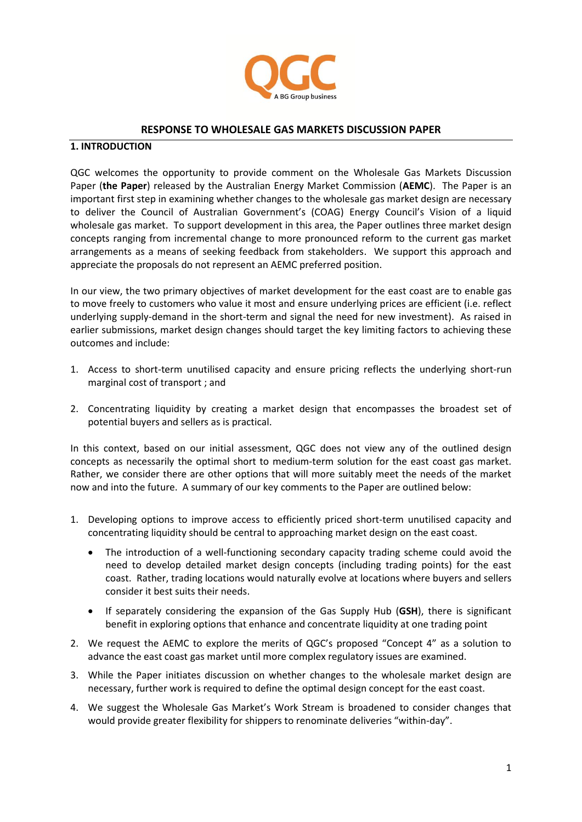

### **RESPONSE TO WHOLESALE GAS MARKETS DISCUSSION PAPER**

#### **1. INTRODUCTION**

QGC welcomes the opportunity to provide comment on the Wholesale Gas Markets Discussion Paper (**the Paper**) released by the Australian Energy Market Commission (**AEMC**). The Paper is an important first step in examining whether changes to the wholesale gas market design are necessary to deliver the Council of Australian Government's (COAG) Energy Council's Vision of a liquid wholesale gas market. To support development in this area, the Paper outlines three market design concepts ranging from incremental change to more pronounced reform to the current gas market arrangements as a means of seeking feedback from stakeholders. We support this approach and appreciate the proposals do not represent an AEMC preferred position.

In our view, the two primary objectives of market development for the east coast are to enable gas to move freely to customers who value it most and ensure underlying prices are efficient (i.e. reflect underlying supply-demand in the short-term and signal the need for new investment). As raised in earlier submissions, market design changes should target the key limiting factors to achieving these outcomes and include:

- 1. Access to short-term unutilised capacity and ensure pricing reflects the underlying short-run marginal cost of transport ; and
- 2. Concentrating liquidity by creating a market design that encompasses the broadest set of potential buyers and sellers as is practical.

In this context, based on our initial assessment, QGC does not view any of the outlined design concepts as necessarily the optimal short to medium-term solution for the east coast gas market. Rather, we consider there are other options that will more suitably meet the needs of the market now and into the future. A summary of our key comments to the Paper are outlined below:

- 1. Developing options to improve access to efficiently priced short-term unutilised capacity and concentrating liquidity should be central to approaching market design on the east coast.
	- The introduction of a well-functioning secondary capacity trading scheme could avoid the need to develop detailed market design concepts (including trading points) for the east coast. Rather, trading locations would naturally evolve at locations where buyers and sellers consider it best suits their needs.
	- If separately considering the expansion of the Gas Supply Hub (**GSH**), there is significant benefit in exploring options that enhance and concentrate liquidity at one trading point
- 2. We request the AEMC to explore the merits of QGC's proposed "Concept 4" as a solution to advance the east coast gas market until more complex regulatory issues are examined.
- 3. While the Paper initiates discussion on whether changes to the wholesale market design are necessary, further work is required to define the optimal design concept for the east coast.
- 4. We suggest the Wholesale Gas Market's Work Stream is broadened to consider changes that would provide greater flexibility for shippers to renominate deliveries "within-day".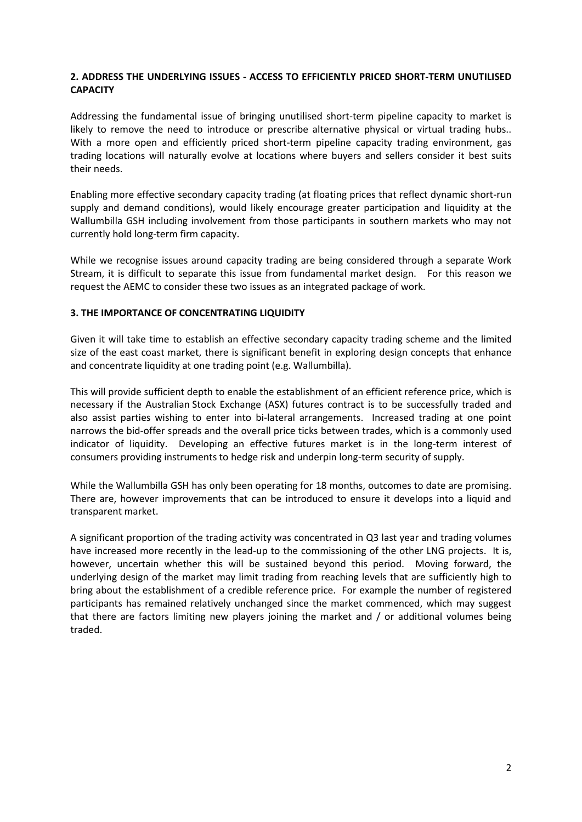## **2. ADDRESS THE UNDERLYING ISSUES - ACCESS TO EFFICIENTLY PRICED SHORT-TERM UNUTILISED CAPACITY**

Addressing the fundamental issue of bringing unutilised short-term pipeline capacity to market is likely to remove the need to introduce or prescribe alternative physical or virtual trading hubs.. With a more open and efficiently priced short-term pipeline capacity trading environment, gas trading locations will naturally evolve at locations where buyers and sellers consider it best suits their needs.

Enabling more effective secondary capacity trading (at floating prices that reflect dynamic short-run supply and demand conditions), would likely encourage greater participation and liquidity at the Wallumbilla GSH including involvement from those participants in southern markets who may not currently hold long-term firm capacity.

While we recognise issues around capacity trading are being considered through a separate Work Stream, it is difficult to separate this issue from fundamental market design. For this reason we request the AEMC to consider these two issues as an integrated package of work.

#### **3. THE IMPORTANCE OF CONCENTRATING LIQUIDITY**

Given it will take time to establish an effective secondary capacity trading scheme and the limited size of the east coast market, there is significant benefit in exploring design concepts that enhance and concentrate liquidity at one trading point (e.g. Wallumbilla).

This will provide sufficient depth to enable the establishment of an efficient reference price, which is necessary if the Australian Stock Exchange (ASX) futures contract is to be successfully traded and also assist parties wishing to enter into bi-lateral arrangements. Increased trading at one point narrows the bid-offer spreads and the overall price ticks between trades, which is a commonly used indicator of liquidity. Developing an effective futures market is in the long-term interest of consumers providing instruments to hedge risk and underpin long-term security of supply.

While the Wallumbilla GSH has only been operating for 18 months, outcomes to date are promising. There are, however improvements that can be introduced to ensure it develops into a liquid and transparent market.

A significant proportion of the trading activity was concentrated in Q3 last year and trading volumes have increased more recently in the lead-up to the commissioning of the other LNG projects. It is, however, uncertain whether this will be sustained beyond this period. Moving forward, the underlying design of the market may limit trading from reaching levels that are sufficiently high to bring about the establishment of a credible reference price. For example the number of registered participants has remained relatively unchanged since the market commenced, which may suggest that there are factors limiting new players joining the market and / or additional volumes being traded.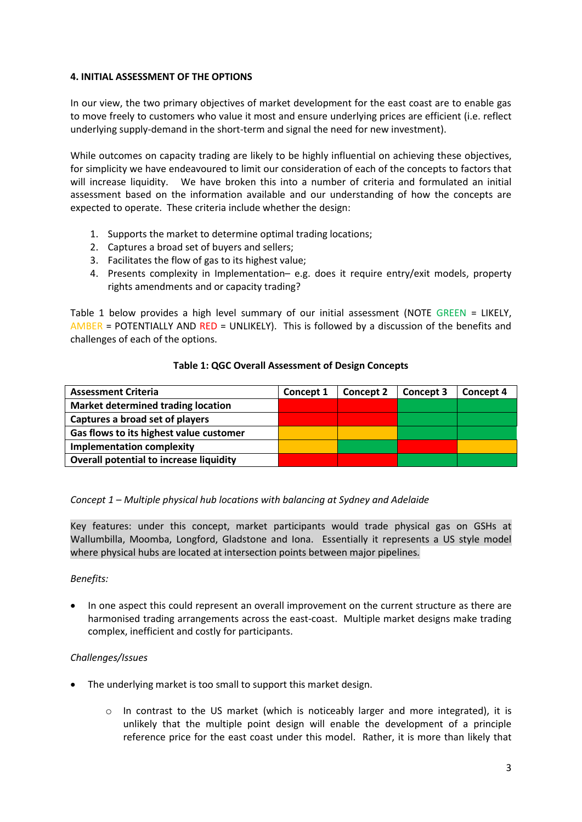## **4. INITIAL ASSESSMENT OF THE OPTIONS**

In our view, the two primary objectives of market development for the east coast are to enable gas to move freely to customers who value it most and ensure underlying prices are efficient (i.e. reflect underlying supply-demand in the short-term and signal the need for new investment).

While outcomes on capacity trading are likely to be highly influential on achieving these objectives, for simplicity we have endeavoured to limit our consideration of each of the concepts to factors that will increase liquidity. We have broken this into a number of criteria and formulated an initial assessment based on the information available and our understanding of how the concepts are expected to operate. These criteria include whether the design:

- 1. Supports the market to determine optimal trading locations;
- 2. Captures a broad set of buyers and sellers;
- 3. Facilitates the flow of gas to its highest value;
- 4. Presents complexity in Implementation– e.g. does it require entry/exit models, property rights amendments and or capacity trading?

Table 1 below provides a high level summary of our initial assessment (NOTE GREEN = LIKELY, AMBER = POTENTIALLY AND RED = UNLIKELY). This is followed by a discussion of the benefits and challenges of each of the options.

# **Table 1: QGC Overall Assessment of Design Concepts**

| <b>Assessment Criteria</b>                | Concept 1 | Concept 2 | Concept 3 | Concept 4 |
|-------------------------------------------|-----------|-----------|-----------|-----------|
| <b>Market determined trading location</b> |           |           |           |           |
| Captures a broad set of players           |           |           |           |           |
| Gas flows to its highest value customer   |           |           |           |           |
| <b>Implementation complexity</b>          |           |           |           |           |
| Overall potential to increase liquidity   |           |           |           |           |

# *Concept 1 – Multiple physical hub locations with balancing at Sydney and Adelaide*

Key features: under this concept, market participants would trade physical gas on GSHs at Wallumbilla, Moomba, Longford, Gladstone and Iona. Essentially it represents a US style model where physical hubs are located at intersection points between major pipelines*.*

#### *Benefits:*

 In one aspect this could represent an overall improvement on the current structure as there are harmonised trading arrangements across the east-coast. Multiple market designs make trading complex, inefficient and costly for participants.

# *Challenges/Issues*

- The underlying market is too small to support this market design.
	- $\circ$  In contrast to the US market (which is noticeably larger and more integrated), it is unlikely that the multiple point design will enable the development of a principle reference price for the east coast under this model. Rather, it is more than likely that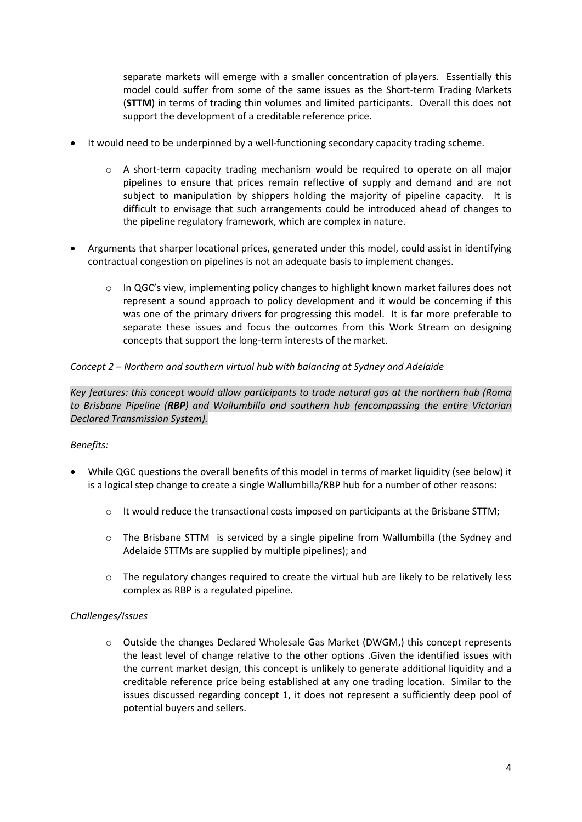separate markets will emerge with a smaller concentration of players. Essentially this model could suffer from some of the same issues as the Short-term Trading Markets (**STTM**) in terms of trading thin volumes and limited participants. Overall this does not support the development of a creditable reference price.

- It would need to be underpinned by a well-functioning secondary capacity trading scheme.
	- $\circ$  A short-term capacity trading mechanism would be required to operate on all major pipelines to ensure that prices remain reflective of supply and demand and are not subject to manipulation by shippers holding the majority of pipeline capacity. It is difficult to envisage that such arrangements could be introduced ahead of changes to the pipeline regulatory framework, which are complex in nature.
- Arguments that sharper locational prices, generated under this model, could assist in identifying contractual congestion on pipelines is not an adequate basis to implement changes.
	- o In QGC's view, implementing policy changes to highlight known market failures does not represent a sound approach to policy development and it would be concerning if this was one of the primary drivers for progressing this model. It is far more preferable to separate these issues and focus the outcomes from this Work Stream on designing concepts that support the long-term interests of the market.

# *Concept 2 – Northern and southern virtual hub with balancing at Sydney and Adelaide*

*Key features: this concept would allow participants to trade natural gas at the northern hub (Roma to Brisbane Pipeline (RBP) and Wallumbilla and southern hub (encompassing the entire Victorian Declared Transmission System).*

# *Benefits:*

- While QGC questions the overall benefits of this model in terms of market liquidity (see below) it is a logical step change to create a single Wallumbilla/RBP hub for a number of other reasons:
	- $\circ$  It would reduce the transactional costs imposed on participants at the Brisbane STTM;
	- o The Brisbane STTM is serviced by a single pipeline from Wallumbilla (the Sydney and Adelaide STTMs are supplied by multiple pipelines); and
	- $\circ$  The regulatory changes required to create the virtual hub are likely to be relatively less complex as RBP is a regulated pipeline.

#### *Challenges/Issues*

o Outside the changes Declared Wholesale Gas Market (DWGM,) this concept represents the least level of change relative to the other options .Given the identified issues with the current market design, this concept is unlikely to generate additional liquidity and a creditable reference price being established at any one trading location. Similar to the issues discussed regarding concept 1, it does not represent a sufficiently deep pool of potential buyers and sellers.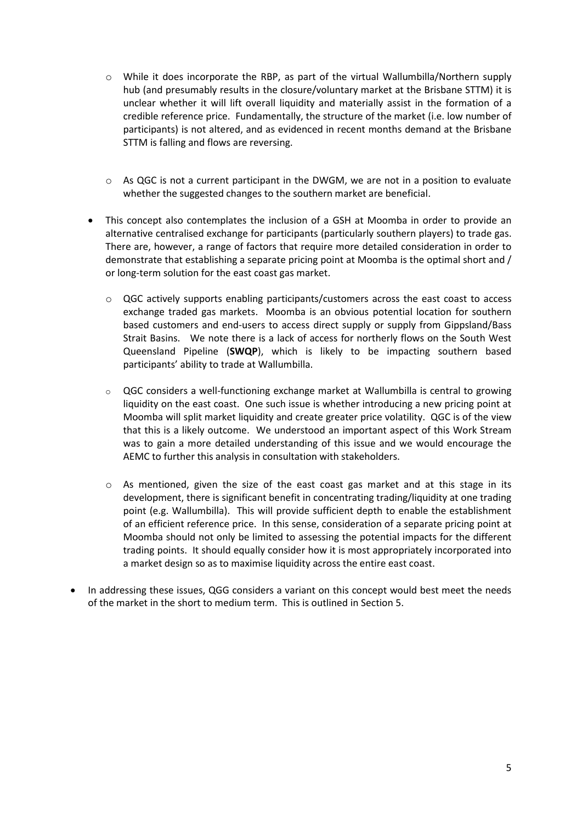- o While it does incorporate the RBP, as part of the virtual Wallumbilla/Northern supply hub (and presumably results in the closure/voluntary market at the Brisbane STTM) it is unclear whether it will lift overall liquidity and materially assist in the formation of a credible reference price. Fundamentally, the structure of the market (i.e. low number of participants) is not altered, and as evidenced in recent months demand at the Brisbane STTM is falling and flows are reversing.
- $\circ$  As QGC is not a current participant in the DWGM, we are not in a position to evaluate whether the suggested changes to the southern market are beneficial.
- This concept also contemplates the inclusion of a GSH at Moomba in order to provide an alternative centralised exchange for participants (particularly southern players) to trade gas. There are, however, a range of factors that require more detailed consideration in order to demonstrate that establishing a separate pricing point at Moomba is the optimal short and / or long-term solution for the east coast gas market.
	- o QGC actively supports enabling participants/customers across the east coast to access exchange traded gas markets. Moomba is an obvious potential location for southern based customers and end-users to access direct supply or supply from Gippsland/Bass Strait Basins. We note there is a lack of access for northerly flows on the South West Queensland Pipeline (**SWQP**), which is likely to be impacting southern based participants' ability to trade at Wallumbilla.
	- o QGC considers a well-functioning exchange market at Wallumbilla is central to growing liquidity on the east coast. One such issue is whether introducing a new pricing point at Moomba will split market liquidity and create greater price volatility. QGC is of the view that this is a likely outcome. We understood an important aspect of this Work Stream was to gain a more detailed understanding of this issue and we would encourage the AEMC to further this analysis in consultation with stakeholders.
	- $\circ$  As mentioned, given the size of the east coast gas market and at this stage in its development, there is significant benefit in concentrating trading/liquidity at one trading point (e.g. Wallumbilla). This will provide sufficient depth to enable the establishment of an efficient reference price. In this sense, consideration of a separate pricing point at Moomba should not only be limited to assessing the potential impacts for the different trading points. It should equally consider how it is most appropriately incorporated into a market design so as to maximise liquidity across the entire east coast.
- In addressing these issues, QGG considers a variant on this concept would best meet the needs of the market in the short to medium term. This is outlined in Section 5.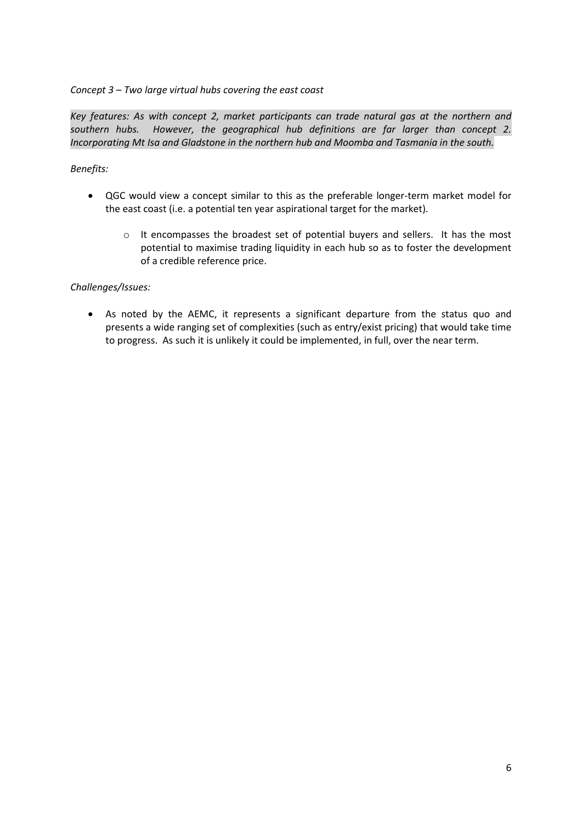## *Concept 3 – Two large virtual hubs covering the east coast*

*Key features: As with concept 2, market participants can trade natural gas at the northern and southern hubs. However, the geographical hub definitions are far larger than concept 2. Incorporating Mt Isa and Gladstone in the northern hub and Moomba and Tasmania in the south.*

## *Benefits:*

- QGC would view a concept similar to this as the preferable longer-term market model for the east coast (i.e. a potential ten year aspirational target for the market).
	- o It encompasses the broadest set of potential buyers and sellers. It has the most potential to maximise trading liquidity in each hub so as to foster the development of a credible reference price.

## *Challenges/Issues:*

 As noted by the AEMC, it represents a significant departure from the status quo and presents a wide ranging set of complexities (such as entry/exist pricing) that would take time to progress. As such it is unlikely it could be implemented, in full, over the near term.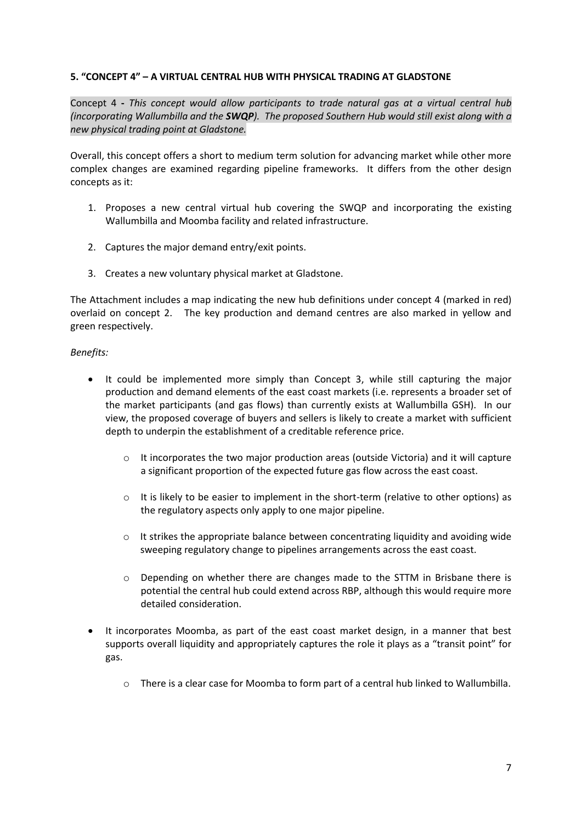### **5. "CONCEPT 4" – A VIRTUAL CENTRAL HUB WITH PHYSICAL TRADING AT GLADSTONE**

Concept 4 **-** *This concept would allow participants to trade natural gas at a virtual central hub (incorporating Wallumbilla and the SWQP). The proposed Southern Hub would still exist along with a new physical trading point at Gladstone.*

Overall, this concept offers a short to medium term solution for advancing market while other more complex changes are examined regarding pipeline frameworks. It differs from the other design concepts as it:

- 1. Proposes a new central virtual hub covering the SWQP and incorporating the existing Wallumbilla and Moomba facility and related infrastructure.
- 2. Captures the major demand entry/exit points.
- 3. Creates a new voluntary physical market at Gladstone.

The Attachment includes a map indicating the new hub definitions under concept 4 (marked in red) overlaid on concept 2. The key production and demand centres are also marked in yellow and green respectively.

#### *Benefits:*

- It could be implemented more simply than Concept 3, while still capturing the major production and demand elements of the east coast markets (i.e. represents a broader set of the market participants (and gas flows) than currently exists at Wallumbilla GSH). In our view, the proposed coverage of buyers and sellers is likely to create a market with sufficient depth to underpin the establishment of a creditable reference price.
	- $\circ$  It incorporates the two major production areas (outside Victoria) and it will capture a significant proportion of the expected future gas flow across the east coast.
	- $\circ$  It is likely to be easier to implement in the short-term (relative to other options) as the regulatory aspects only apply to one major pipeline.
	- $\circ$  It strikes the appropriate balance between concentrating liquidity and avoiding wide sweeping regulatory change to pipelines arrangements across the east coast.
	- o Depending on whether there are changes made to the STTM in Brisbane there is potential the central hub could extend across RBP, although this would require more detailed consideration.
- It incorporates Moomba, as part of the east coast market design, in a manner that best supports overall liquidity and appropriately captures the role it plays as a "transit point" for gas.
	- o There is a clear case for Moomba to form part of a central hub linked to Wallumbilla.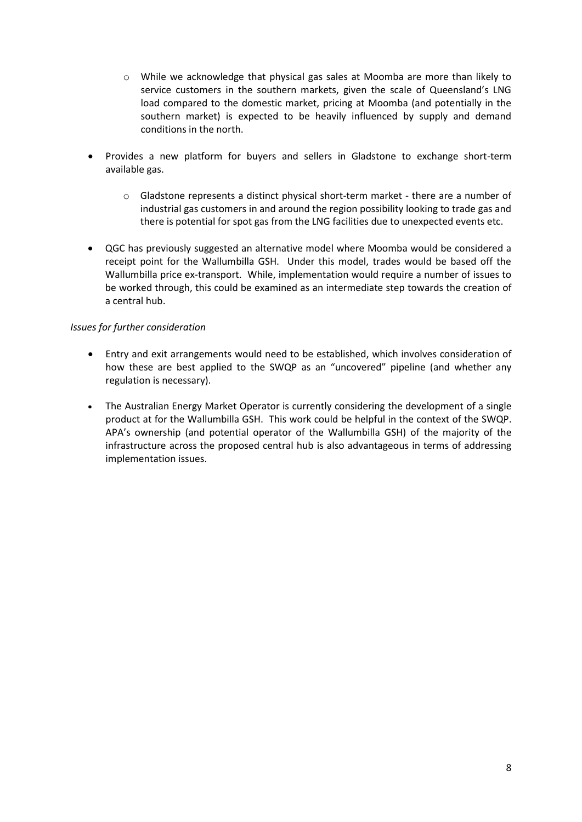- o While we acknowledge that physical gas sales at Moomba are more than likely to service customers in the southern markets, given the scale of Queensland's LNG load compared to the domestic market, pricing at Moomba (and potentially in the southern market) is expected to be heavily influenced by supply and demand conditions in the north.
- Provides a new platform for buyers and sellers in Gladstone to exchange short-term available gas.
	- o Gladstone represents a distinct physical short-term market there are a number of industrial gas customers in and around the region possibility looking to trade gas and there is potential for spot gas from the LNG facilities due to unexpected events etc.
- QGC has previously suggested an alternative model where Moomba would be considered a receipt point for the Wallumbilla GSH. Under this model, trades would be based off the Wallumbilla price ex-transport. While, implementation would require a number of issues to be worked through, this could be examined as an intermediate step towards the creation of a central hub.

## *Issues for further consideration*

- Entry and exit arrangements would need to be established, which involves consideration of how these are best applied to the SWQP as an "uncovered" pipeline (and whether any regulation is necessary).
- The Australian Energy Market Operator is currently considering the development of a single product at for the Wallumbilla GSH. This work could be helpful in the context of the SWQP. APA's ownership (and potential operator of the Wallumbilla GSH) of the majority of the infrastructure across the proposed central hub is also advantageous in terms of addressing implementation issues.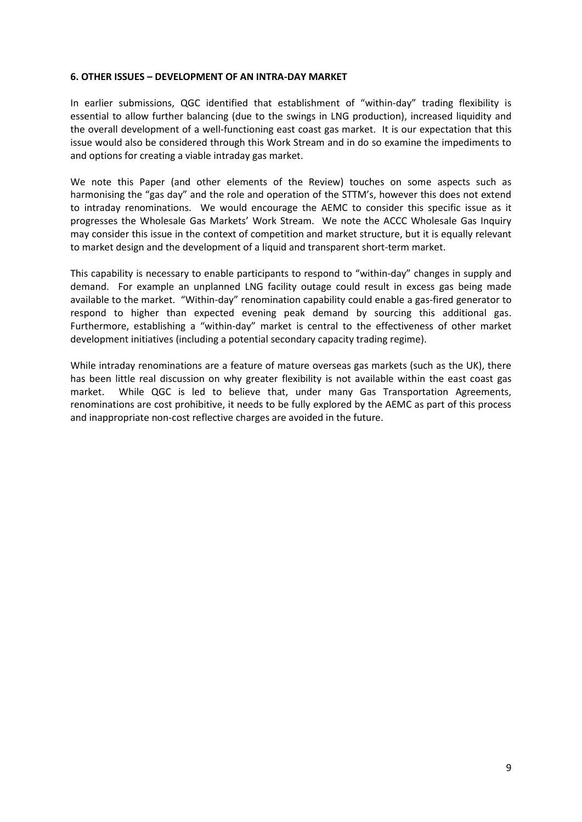#### **6. OTHER ISSUES – DEVELOPMENT OF AN INTRA-DAY MARKET**

In earlier submissions, QGC identified that establishment of "within-day" trading flexibility is essential to allow further balancing (due to the swings in LNG production), increased liquidity and the overall development of a well-functioning east coast gas market. It is our expectation that this issue would also be considered through this Work Stream and in do so examine the impediments to and options for creating a viable intraday gas market.

We note this Paper (and other elements of the Review) touches on some aspects such as harmonising the "gas day" and the role and operation of the STTM's, however this does not extend to intraday renominations. We would encourage the AEMC to consider this specific issue as it progresses the Wholesale Gas Markets' Work Stream. We note the ACCC Wholesale Gas Inquiry may consider this issue in the context of competition and market structure, but it is equally relevant to market design and the development of a liquid and transparent short-term market.

This capability is necessary to enable participants to respond to "within-day" changes in supply and demand. For example an unplanned LNG facility outage could result in excess gas being made available to the market. "Within-day" renomination capability could enable a gas-fired generator to respond to higher than expected evening peak demand by sourcing this additional gas. Furthermore, establishing a "within-day" market is central to the effectiveness of other market development initiatives (including a potential secondary capacity trading regime).

While intraday renominations are a feature of mature overseas gas markets (such as the UK), there has been little real discussion on why greater flexibility is not available within the east coast gas market. While QGC is led to believe that, under many Gas Transportation Agreements, renominations are cost prohibitive, it needs to be fully explored by the AEMC as part of this process and inappropriate non-cost reflective charges are avoided in the future.